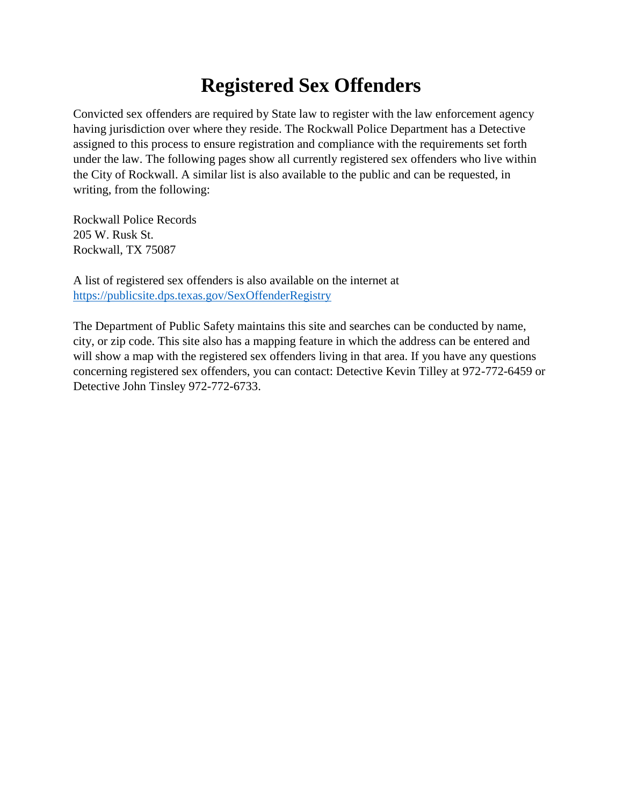## **Registered Sex Offenders**

Convicted sex offenders are required by State law to register with the law enforcement agency having jurisdiction over where they reside. The Rockwall Police Department has a Detective assigned to this process to ensure registration and compliance with the requirements set forth under the law. The following pages show all currently registered sex offenders who live within the City of Rockwall. A similar list is also available to the public and can be requested, in writing, from the following:

Rockwall Police Records 205 W. Rusk St. Rockwall, TX 75087

A list of registered sex offenders is also available on the internet at <https://publicsite.dps.texas.gov/SexOffenderRegistry>

The Department of Public Safety maintains this site and searches can be conducted by name, city, or zip code. This site also has a mapping feature in which the address can be entered and will show a map with the registered sex offenders living in that area. If you have any questions concerning registered sex offenders, you can contact: Detective Kevin Tilley at 972-772-6459 or Detective John Tinsley 972-772-6733.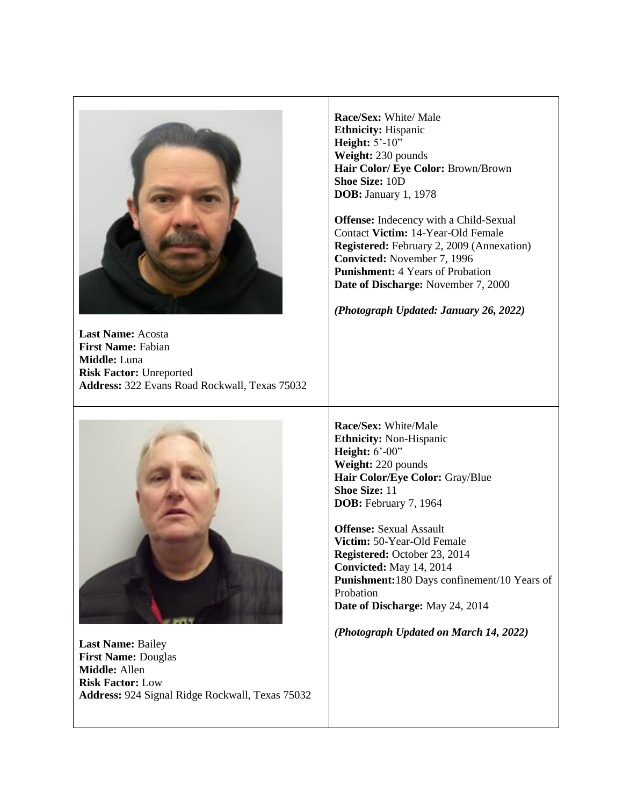

**Last Name:** Acosta **First Name:** Fabian **Middle:** Luna **Risk Factor:** Unreported **Address:** 322 Evans Road Rockwall, Texas 75032



**Last Name:** Bailey **First Name:** Douglas **Middle:** Allen **Risk Factor:** Low **Address:** 924 Signal Ridge Rockwall, Texas 75032 **Race/Sex:** White/ Male **Ethnicity:** Hispanic **Height:** 5'-10" **Weight:** 230 pounds **Hair Color/ Eye Color:** Brown/Brown **Shoe Size:** 10D **DOB:** January 1, 1978

**Offense:** Indecency with a Child-Sexual Contact **Victim:** 14-Year-Old Female **Registered:** February 2, 2009 (Annexation) **Convicted:** November 7, 1996 **Punishment:** 4 Years of Probation **Date of Discharge:** November 7, 2000

*(Photograph Updated: January 26, 2022)*

**Race/Sex:** White/Male **Ethnicity:** Non-Hispanic **Height:**  $6'$ -00" **Weight:** 220 pounds **Hair Color/Eye Color:** Gray/Blue **Shoe Size:** 11 **DOB:** February 7, 1964

**Offense:** Sexual Assault **Victim:** 50-Year-Old Female **Registered:** October 23, 2014 **Convicted:** May 14, 2014 **Punishment:**180 Days confinement/10 Years of Probation **Date of Discharge:** May 24, 2014

*(Photograph Updated on March 14, 2022)*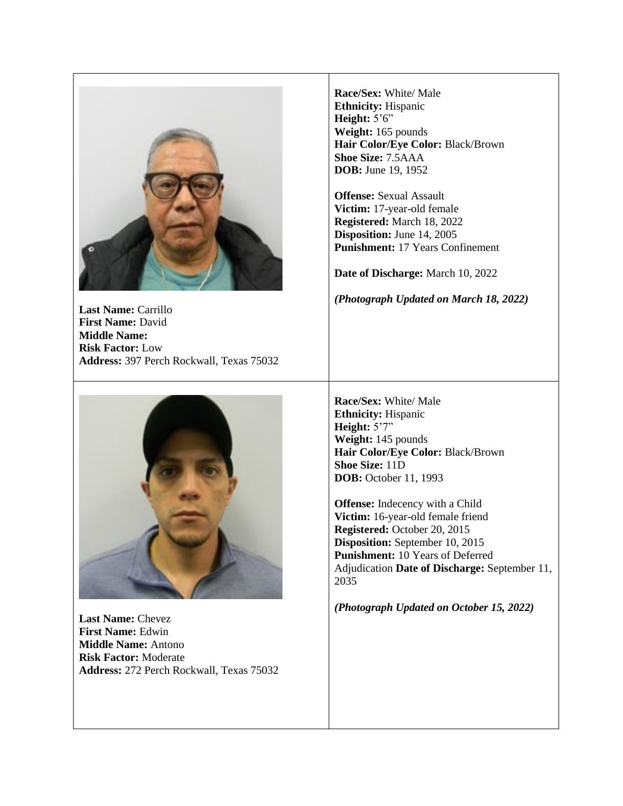

**Last Name:** Carrillo **First Name:** David **Middle Name: Risk Factor:** Low **Address:** 397 Perch Rockwall, Texas 75032



**Last Name:** Chevez **First Name:** Edwin **Middle Name:** Antono **Risk Factor:** Moderate **Address:** 272 Perch Rockwall, Texas 75032

**Race/Sex:** White/ Male **Ethnicity:** Hispanic **Height:** 5'6" **Weight:** 165 pounds **Hair Color/Eye Color:** Black/Brown **Shoe Size:** 7.5AAA **DOB:** June 19, 1952

**Offense:** Sexual Assault **Victim:** 17-year-old female **Registered:** March 18, 2022 **Disposition:** June 14, 2005 **Punishment:** 17 Years Confinement

**Date of Discharge:** March 10, 2022

*(Photograph Updated on March 18, 2022)*

**Race/Sex:** White/ Male **Ethnicity:** Hispanic **Height:** 5'7" **Weight:** 145 pounds **Hair Color/Eye Color:** Black/Brown **Shoe Size:** 11D **DOB:** October 11, 1993

**Offense:** Indecency with a Child **Victim:** 16-year-old female friend **Registered:** October 20, 2015 **Disposition:** September 10, 2015 **Punishment:** 10 Years of Deferred Adjudication **Date of Discharge:** September 11, 2035

*(Photograph Updated on October 15, 2022)*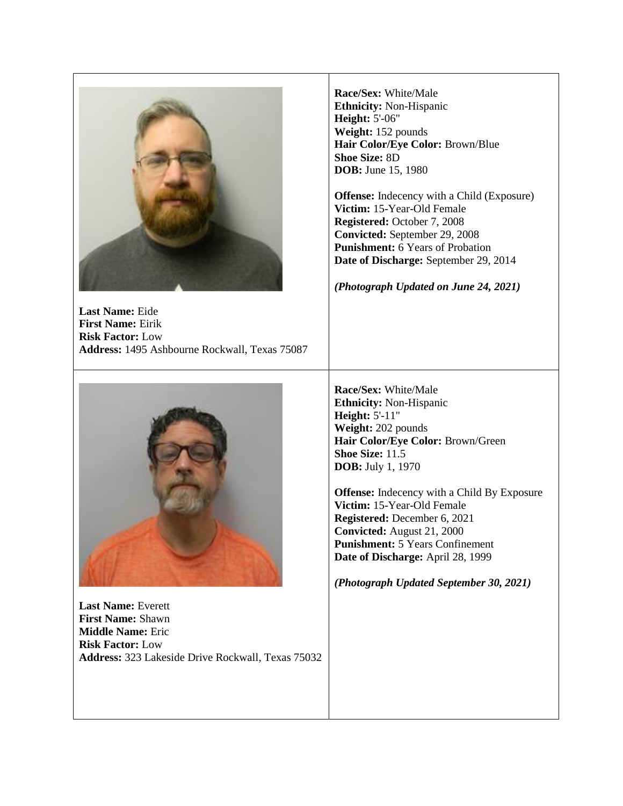

**Last Name:** Eide **First Name:** Eirik **Risk Factor:** Low **Address:** 1495 Ashbourne Rockwall, Texas 75087



**Last Name:** Everett **First Name:** Shawn **Middle Name:** Eric **Risk Factor:** Low **Address:** 323 Lakeside Drive Rockwall, Texas 75032

**Race/Sex:** White/Male **Ethnicity:** Non-Hispanic **Height:** 5'-06" **Weight:** 152 pounds **Hair Color/Eye Color:** Brown/Blue **Shoe Size:** 8D **DOB:** June 15, 1980

**Offense:** Indecency with a Child (Exposure) **Victim:** 15-Year-Old Female **Registered:** October 7, 2008 **Convicted:** September 29, 2008 **Punishment:** 6 Years of Probation **Date of Discharge:** September 29, 2014

*(Photograph Updated on June 24, 2021)*

**Race/Sex:** White/Male **Ethnicity:** Non-Hispanic **Height:** 5'-11" **Weight:** 202 pounds **Hair Color/Eye Color:** Brown/Green **Shoe Size:** 11.5 **DOB:** July 1, 1970

**Offense:** Indecency with a Child By Exposure **Victim:** 15-Year-Old Female **Registered:** December 6, 2021 **Convicted:** August 21, 2000 **Punishment:** 5 Years Confinement **Date of Discharge:** April 28, 1999

*(Photograph Updated September 30, 2021)*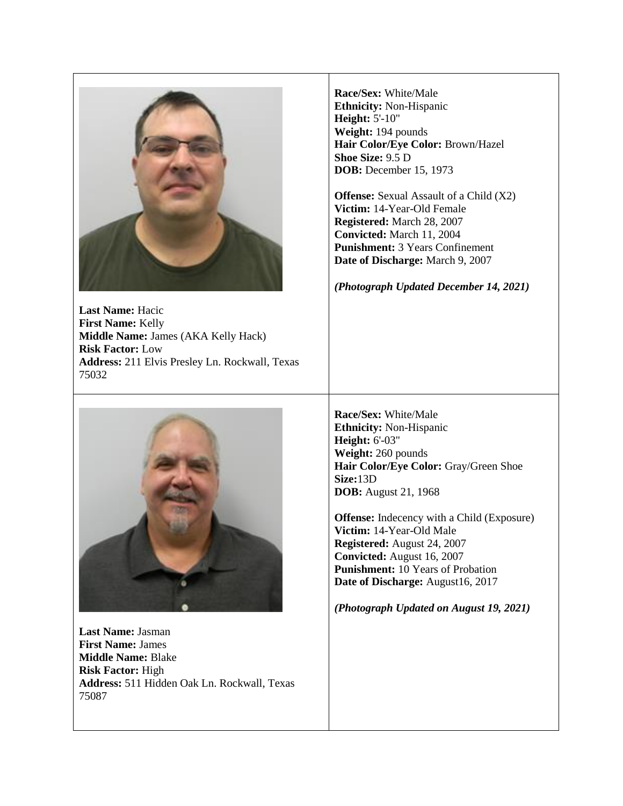

**Last Name:** Hacic **First Name:** Kelly **Middle Name:** James (AKA Kelly Hack) **Risk Factor:** Low **Address:** 211 Elvis Presley Ln. Rockwall, Texas 75032



**Last Name:** Jasman **First Name:** James **Middle Name:** Blake **Risk Factor:** High **Address:** 511 Hidden Oak Ln. Rockwall, Texas 75087

**Race/Sex:** White/Male **Ethnicity:** Non-Hispanic **Height:** 5'-10" **Weight:** 194 pounds **Hair Color/Eye Color:** Brown/Hazel **Shoe Size:** 9.5 D **DOB:** December 15, 1973

**Offense:** Sexual Assault of a Child (X2) **Victim:** 14-Year-Old Female **Registered:** March 28, 2007 **Convicted:** March 11, 2004 **Punishment:** 3 Years Confinement **Date of Discharge:** March 9, 2007

*(Photograph Updated December 14, 2021)*

**Race/Sex:** White/Male **Ethnicity:** Non-Hispanic **Height:** 6'-03" **Weight:** 260 pounds **Hair Color/Eye Color:** Gray/Green Shoe **Size:**13D **DOB:** August 21, 1968

**Offense:** Indecency with a Child (Exposure) **Victim:** 14-Year-Old Male **Registered:** August 24, 2007 **Convicted:** August 16, 2007 **Punishment:** 10 Years of Probation **Date of Discharge:** August16, 2017

*(Photograph Updated on August 19, 2021)*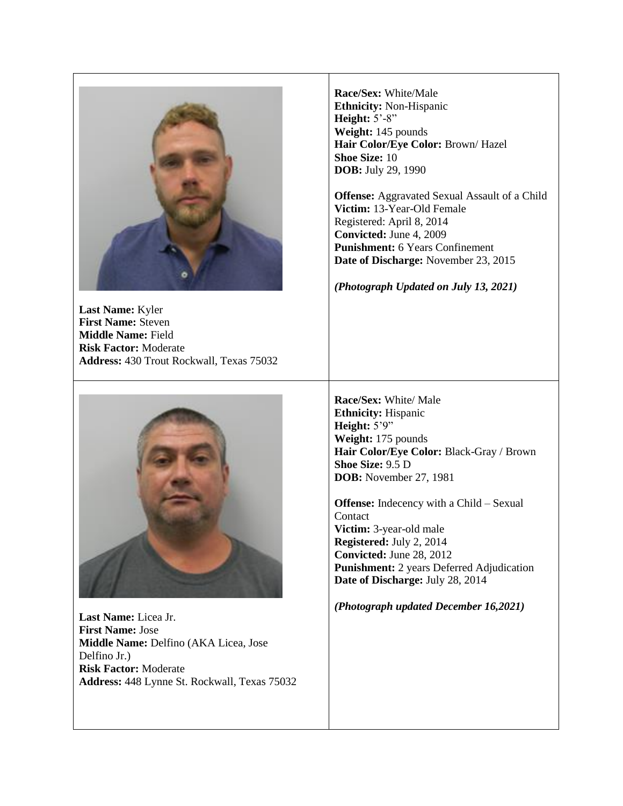

**Last Name:** Kyler **First Name:** Steven **Middle Name:** Field **Risk Factor:** Moderate **Address:** 430 Trout Rockwall, Texas 75032



**Last Name:** Licea Jr. **First Name:** Jose **Middle Name:** Delfino (AKA Licea, Jose Delfino Jr.) **Risk Factor:** Moderate **Address:** 448 Lynne St. Rockwall, Texas 75032

**Race/Sex:** White/Male **Ethnicity:** Non-Hispanic **Height:** 5'-8" **Weight:** 145 pounds **Hair Color/Eye Color:** Brown/ Hazel **Shoe Size:** 10 **DOB:** July 29, 1990

**Offense:** Aggravated Sexual Assault of a Child **Victim:** 13-Year-Old Female Registered: April 8, 2014 **Convicted:** June 4, 2009 **Punishment:** 6 Years Confinement **Date of Discharge:** November 23, 2015

*(Photograph Updated on July 13, 2021)*

**Race/Sex:** White/ Male **Ethnicity:** Hispanic **Height:** 5'9" **Weight:** 175 pounds **Hair Color/Eye Color:** Black-Gray / Brown **Shoe Size:** 9.5 D **DOB:** November 27, 1981

**Offense:** Indecency with a Child – Sexual **Contact Victim:** 3-year-old male **Registered:** July 2, 2014 **Convicted:** June 28, 2012 **Punishment:** 2 years Deferred Adjudication **Date of Discharge:** July 28, 2014

*(Photograph updated December 16,2021)*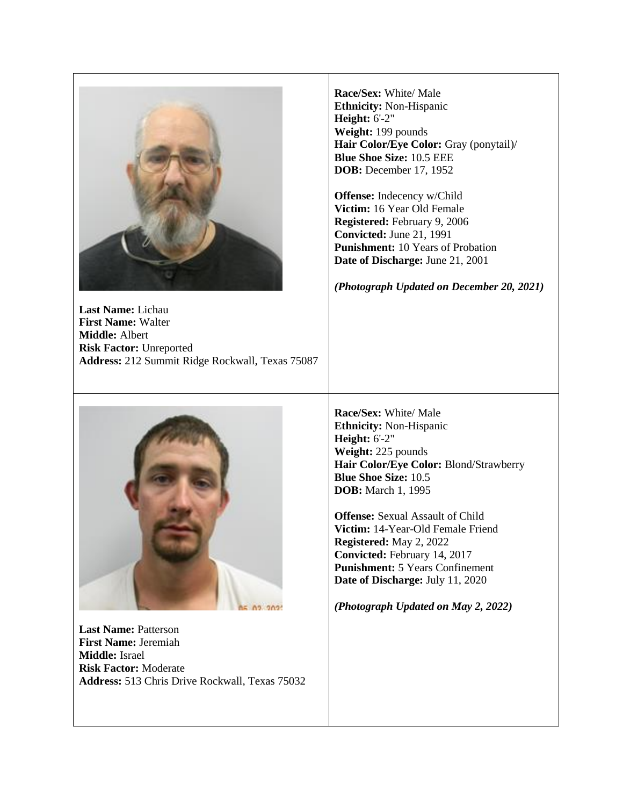

**Last Name:** Lichau **First Name:** Walter **Middle:** Albert **Risk Factor:** Unreported **Address:** 212 Summit Ridge Rockwall, Texas 75087 **Race/Sex:** White/ Male **Ethnicity:** Non-Hispanic **Height:** 6'-2" **Weight:** 199 pounds **Hair Color/Eye Color:** Gray (ponytail)/ **Blue Shoe Size:** 10.5 EEE **DOB:** December 17, 1952

**Offense:** Indecency w/Child **Victim:** 16 Year Old Female **Registered:** February 9, 2006 **Convicted:** June 21, 1991 **Punishment:** 10 Years of Probation **Date of Discharge:** June 21, 2001

*(Photograph Updated on December 20, 2021)*

**Race/Sex:** White/ Male **Ethnicity:** Non-Hispanic **Height:** 6'-2" **Weight:** 225 pounds **Hair Color/Eye Color:** Blond/Strawberry **Blue Shoe Size:** 10.5 **DOB:** March 1, 1995

**Offense:** Sexual Assault of Child **Victim:** 14-Year-Old Female Friend **Registered:** May 2, 2022 **Convicted:** February 14, 2017 **Punishment:** 5 Years Confinement **Date of Discharge:** July 11, 2020

*(Photograph Updated on May 2, 2022)*



**Last Name:** Patterson **First Name:** Jeremiah **Middle:** Israel **Risk Factor:** Moderate **Address:** 513 Chris Drive Rockwall, Texas 75032